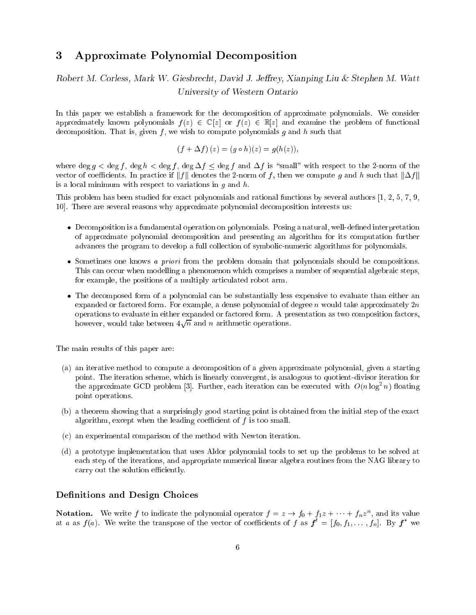## 3 Approximate Polynomial Decomposition

## Robert M. Corless, Mark W. Giesbrecht, David J. Jeffrey, Xianping Liu & Stephen M. Watt University of Western Ontario

In this paper we establish a framework for the decomposition of approximate polynomials. We consider approximately known polynomials  $f(z) \in \mathbb{C}[z]$  or  $f(z) \in \mathbb{R}[z]$  and examine the problem of functional decomposition. That is, given  $f$ , we wish to compute polynomials  $g$  and  $h$  such that

$$
(f + \Delta f)(z) = (g \circ h)(z) = g(h(z)),
$$

where deg  $g < \deg f$ ,  $\deg h < \deg f$ ,  $\deg f \leq \deg f$  and  $\Delta f$  is "small" with respect to the 2-norm of the vector of coefficients. In practice if  $||f||$  denotes the 2-norm of f, then we compute g and h such that  $||\Delta f||$ is a local minimum with respect to variations in  $q$  and  $h$ .

This problem has been studied for exact polynomials and rational functions by several authors [1, 2, 5, 7, 9, 10]. There are several reasons why approximate polynomial decomposition interests us:

- Decomposition is a fundamental operation on polynomials. Posing a natural, well-dened interpretation of approximate polynomial decomposition and presenting an algorithm for its computation further advances the program to develop a full collection of symbolic-numeric algorithms for polynomials.
- Sometimes one knows a priori from the problem domain that polynomials should be compositions. This can occur when modelling a phenomenon which comprises a number of sequential algebraic steps, for example, the positions of a multiply articulated robot arm.
- The decomposed form of a polynomial can be substantially less expensive to evaluate than either an expanded or factored form. For example, a dense polynomial of degree n would take approximately  $2n$ operations to evaluate in either expanded or factored form. A presentation as two composition factors, however, would take between  $4\sqrt{n}$  and n arithmetic operations.

The main results of this paper are:

- (a) an iterative method to compute a decomposition of a given approximate polynomial, given a starting point. The iteration scheme, which is linearly convergent, is analogous to quotient-divisor iteration for the approximate GCD problem [3]. Further, each iteration can be executed with  $O(n \log^2 n)$  floating point operations.
- (b) a theorem showing that a surprisingly good starting point is obtained from the initial step of the exact algorithm, except when the leading coefficient of  $f$  is too small.
- (c) an experimental comparison of the method with Newton iteration.
- (d) a prototype implementation that uses Aldor polynomial tools to set up the problems to be solved at each step of the iterations, and appropriate numerical linear algebra routines from the NAG library to carry out the solution efficiently.

## Definitions and Design Choices

**Notation.** We write f to indicate the polynomial operator  $f = z \rightarrow f_0 + f_1z + \cdots + f_nz^n$ , and its value at a as  $f(a)$ . We write the transpose of the vector of coefficients of f as  $f^- = [f_0, f_1, \ldots, f_n]$ . By f we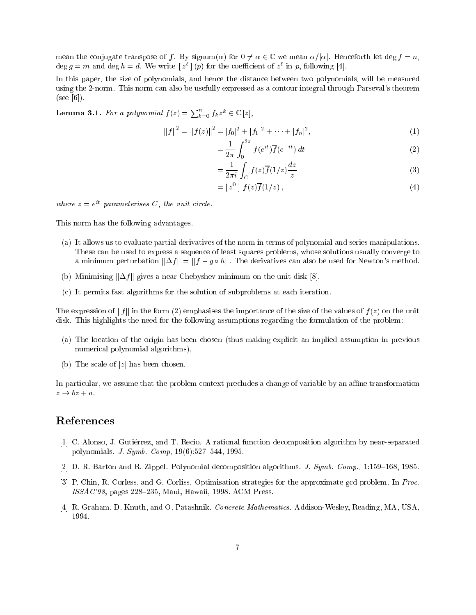mean the conjugate transpose of f. By signum( $\alpha$ ) for  $0 \neq \alpha \in \mathbb{C}$  we mean  $\alpha/|\alpha|$ . Henceforth let deg  $f = n$ ,  $\deg g = m$  and  $\deg n = a$ . We write  $|z^*|$  (p) for the coefficient of  $z^*$  in p, following  $|4|$ .

In this paper, the size of polynomials, and hence the distance between two polynomials, will be measured using the 2-norm. This norm can also be usefully expressed as a contour integral through Parseval's theorem  $(see [6]).$ 

**Lemma 3.1.** For a polynomial  $f(z) = \sum_{k=0}^n f_k z^k \in \mathbb{C}[z],$ 

$$
||f||^2 = ||f(z)||^2 = |f_0|^2 + |f_1|^2 + \dots + |f_n|^2,
$$
\n(1)

$$
=\frac{1}{2\pi}\int_0^\infty f(e^{it})\overline{f}(e^{-it})\,dt\tag{2}
$$

$$
=\frac{1}{2\pi i}\int_C f(z)\overline{f}(1/z)\frac{dz}{z}
$$
\n(3)

$$
= [z0] f(z)\overline{f}(1/z) , \qquad (4)
$$

where  $z = e^{-\gamma}$  parameterises C, the unit circle.

This norm has the following advantages.

- (a) It allows us to evaluate partial derivatives of the norm in terms of polynomial and series manipulations. These can be used to express a sequence of least squares problems, whose solutions usually converge to a minimum perturbation  $||\Delta f|| = ||f - g \circ h||$ . The derivatives can also be used for Newton's method.
- (b) Minimising  $\|\Delta f\|$  gives a near-Chebyshev minimum on the unit disk [8].
- (c) It permits fast algorithms for the solution of subproblems at each iteration.

The expression of  $||f||$  in the form (2) emphasises the importance of the size of the values of  $f(z)$  on the unit disk. This highlights the need for the following assumptions regarding the formulation of the problem:

- (a) The location of the origin has been chosen (thus making explicit an implied assumption in previous numerical polynomial algorithms),
- (b) The scale of  $|z|$  has been chosen.

In particular, we assume that the problem context precludes a change of variable by an affine transformation  $z \rightarrow bz + a$ .

## References

- [1] C. Alonso, J. Gutierrez, and T. Recio. A rational function decomposition algorithm by near-separated polynomials. *J. Symb. Comp*,  $19(6):527{-}544$ , 1995.
- [2] D. R. Barton and R. Zippel. Polynomial decomposition algorithms. J. Symb. Comp., 1:159–168, 1985.
- [3] P. Chin, R. Corless, and G. Corliss. Optimisation strategies for the approximate gcd problem. In Proc.  $ISSAC'98$ , pages  $228-235$ , Maui, Hawaii, 1998. ACM Press.
- [4] R. Graham, D. Knuth, and O. Patashnik. Concrete Mathematics. Addison-Wesley, Reading, MA, USA, 1994.